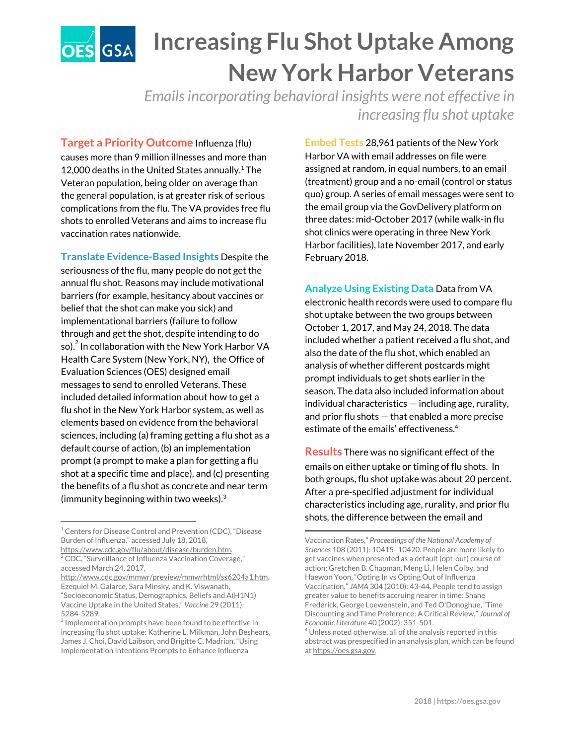## **Increasing Flu Shot Uptake Among OES** GSA **New York Harbor Veterans**

*Emailsincorporating behavioral insights were not effective in increasing flu shot uptake*

**Target a Priority Outcome** Influenza (flu) causes more than 9 million illnesses and more than 12,000 deaths in the United States annually. $1$  The Veteran population, being older on average than the general population, is at greater risk of serious complications from the flu. The VA provides free flu shots to enrolled Veterans and aims to increase flu vaccination rates nationwide.

**Translate Evidence-Based Insights** Despite the seriousness of the flu, many people do not get the annual flu shot. Reasons may include motivational barriers (for example, hesitancy about vaccines or belief that the shot can make you sick) and implementational barriers (failure to follow through and get the shot, despite intending to do so). $^2$  In collaboration with the New York Harbor VA Health Care System (New York, NY), the Office of Evaluation Sciences (OES) designed email messages to send to enrolled Veterans. These included detailed information about how to get a flu shot in the New York Harbor system, as well as elements based on evidence from the behavioral sciences, including (a) framing getting a flu shot as a default course of action, (b) an implementation prompt (a prompt to make a plan for getting a flu shot at a specific time and place), and (c) presenting the benefits of a flu shot as concrete and near term (immunity beginning within two weeks). 3

**Embed Tests** 28,961 patients of the New York Harbor VA with email addresses on file were assigned at random, in equal numbers, to an email (treatment) group and a no-email (control or status quo) group. A series of email messages were sent to the email group via the GovDelivery platform on three dates: mid-October 2017 (while walk-in flu shot clinics were operating in three New York Harbor facilities), late November 2017, and early February 2018.

**Analyze Using Existing Data** Data from VA electronic health records were used to compare flu shot uptake between the two groups between October 1, 2017, and May 24, 2018. The data included whether a patient received a flu shot, and also the date of the flu shot, which enabled an analysis of whether different postcards might prompt individuals to get shots earlier in the season. The data also included information about individual characteristics — including age, rurality, and prior flu shots — that enabled a more precise estimate of the emails' effectiveness. 4

**Results** There was no significant effect of the emails on either uptake or timing of flu shots. In both groups, flu shot uptake was about 20 percent. After a pre-specified adjustment for individual characteristics including age, rurality, and prior flu shots, the difference between the email and

 $1$  Centers for Disease Control and Prevention (CDC), "Disease Burden of Influenza," accessed July 18, 2018,

[https://www.cdc.gov/flu/about/disease/burden.htm.](https://www.cdc.gov/flu/about/disease/burden.htm) <sup>2</sup> CDC, "Surveillance of Influenza Vaccination Coverage," accessed March 24, 2017,

[http://www.cdc.gov/mmwr/preview/mmwrhtml/ss6204a1.htm.](http://www.cdc.gov/mmwr/preview/mmwrhtml/ss6204a1.htm) Ezequiel M. Galarce, Sara Minsky, and K. Viswanath, "Socioeconomic Status, Demographics, Beliefs and A(H1N1) Vaccine Uptake in the United States," *Vaccine* 29 (2011): 5284-5289.

 $3$  Implementation prompts have been found to be effective in increasing flu shot uptake: Katherine L. Milkman, John Beshears, James J. Choi, David Laibson, and Brigitte C. Madrian, "Using Implementation Intentions Prompts to Enhance Influenza

Vaccination Rates," *Proceedings of the National Academy of Sciences* 108 (2011): 10415–10420. People are more likely to get vaccines when presented as a default (opt-out) course of action: Gretchen B. Chapman, Meng Li, Helen Colby, and Haewon Yoon, "Opting In vs Opting Out of Influenza Vaccination," *JAMA* 304 (2010): 43-44. People tend to assign greater value to benefits accruing nearer in time: Shane Frederick, George Loewenstein, and Ted O'Donoghue, "Time Discounting and Time Preference: A Critical Review," *Journal of Economic Literature* 40 (2002): 351-501.

 $^4$  Unless noted otherwise, all of the analysis reported in this abstract was prespecified in an analysis plan, which can be found at [https://oes.gsa.gov.](https://oes.gsa.gov/)